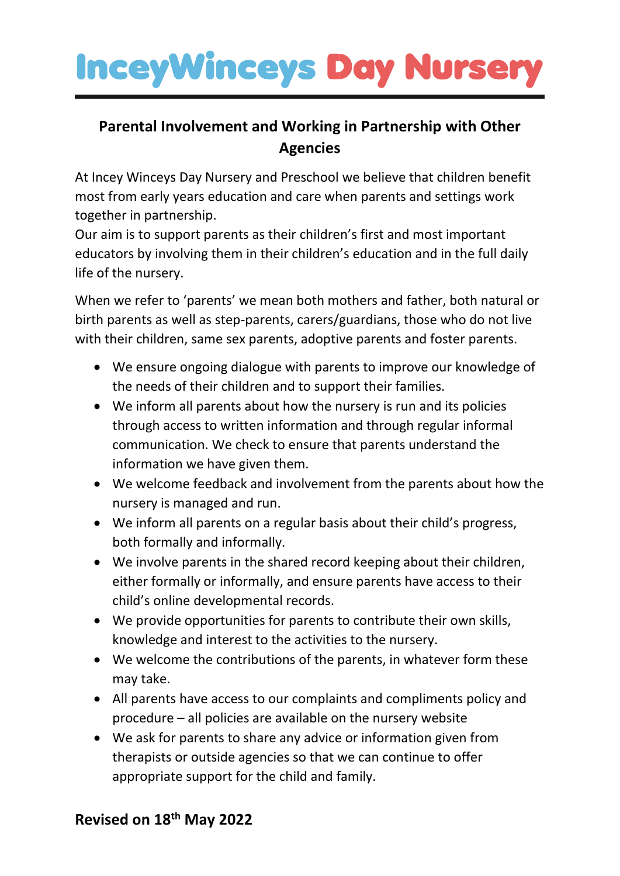# **InceyWinceys Day Nursery**

### **Parental Involvement and Working in Partnership with Other Agencies**

At Incey Winceys Day Nursery and Preschool we believe that children benefit most from early years education and care when parents and settings work together in partnership.

Our aim is to support parents as their children's first and most important educators by involving them in their children's education and in the full daily life of the nursery.

When we refer to 'parents' we mean both mothers and father, both natural or birth parents as well as step-parents, carers/guardians, those who do not live with their children, same sex parents, adoptive parents and foster parents.

- We ensure ongoing dialogue with parents to improve our knowledge of the needs of their children and to support their families.
- We inform all parents about how the nursery is run and its policies through access to written information and through regular informal communication. We check to ensure that parents understand the information we have given them.
- We welcome feedback and involvement from the parents about how the nursery is managed and run.
- We inform all parents on a regular basis about their child's progress, both formally and informally.
- We involve parents in the shared record keeping about their children, either formally or informally, and ensure parents have access to their child's online developmental records.
- We provide opportunities for parents to contribute their own skills, knowledge and interest to the activities to the nursery.
- We welcome the contributions of the parents, in whatever form these may take.
- All parents have access to our complaints and compliments policy and procedure – all policies are available on the nursery website
- We ask for parents to share any advice or information given from therapists or outside agencies so that we can continue to offer appropriate support for the child and family.

### **Revised on 18th May 2022**